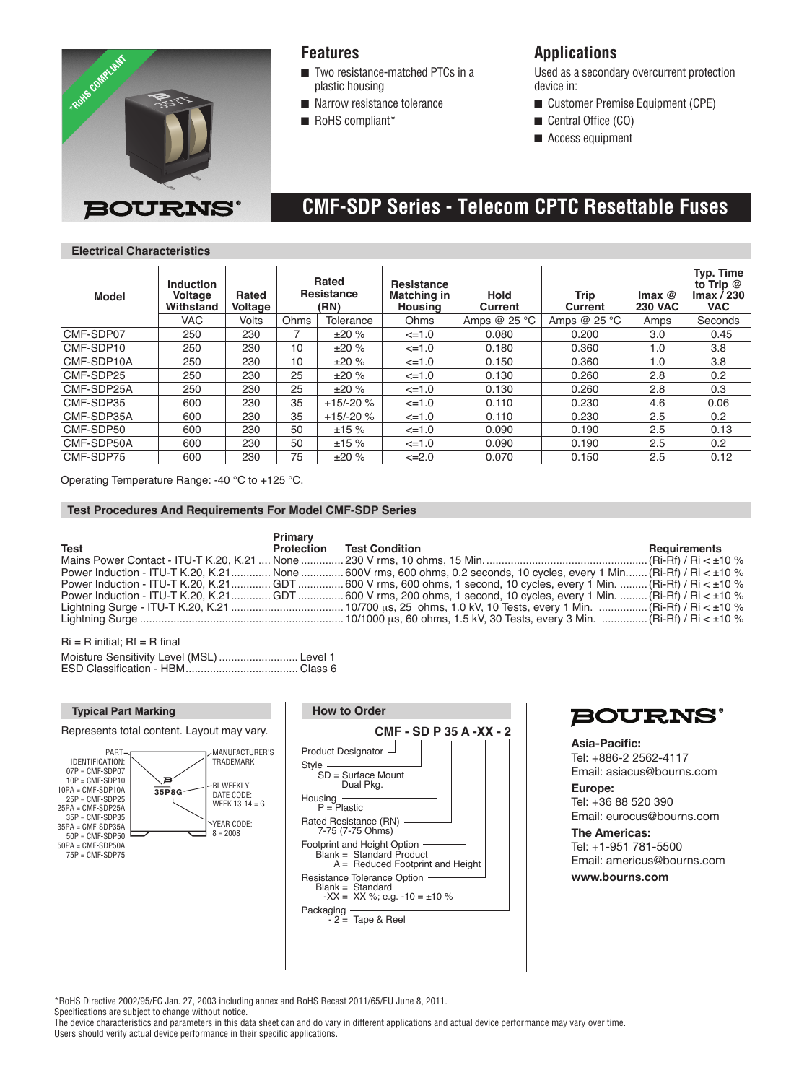

## **Features**

- $\blacksquare$  Two resistance-matched PTCs in a plastic housing
- $\blacksquare$  Narrow resistance tolerance
- $\blacksquare$  RoHS compliant\*

## **Applications**

Used as a secondary overcurrent protection device in:

- Customer Premise Equipment (CPE)
- Central Office (CO)
- $\blacksquare$  Access equipment

# **CMF-SDP Series - Telecom CPTC Resettable Fuses**

### **Electrical Characteristics**

| <b>Model</b> | <b>Induction</b><br>Voltage<br>Withstand | Rated<br>Voltage | Rated<br>Resistance<br>(RN) |           | Resistance<br>Matching in<br><b>Housing</b> | <b>Hold</b><br>Current | Trip<br>Current | Imax $@$<br><b>230 VAC</b> | Typ. Time<br>to Trip @<br>$\mathsf{Imax}/230$<br><b>VAC</b> |
|--------------|------------------------------------------|------------------|-----------------------------|-----------|---------------------------------------------|------------------------|-----------------|----------------------------|-------------------------------------------------------------|
|              | <b>VAC</b>                               | Volts            | Ohms                        | Tolerance | Ohms                                        | Amps @ $25 °C$         | Amps $@25 °C$   | Amps                       | Seconds                                                     |
| CMF-SDP07    | 250                                      | 230              |                             | ±20%      | $\leq 1.0$                                  | 0.080                  | 0.200           | 3.0                        | 0.45                                                        |
| CMF-SDP10    | 250                                      | 230              | 10                          | ±20%      | $\leq 1.0$                                  | 0.180                  | 0.360           | 1.0                        | 3.8                                                         |
| CMF-SDP10A   | 250                                      | 230              | 10                          | ±20%      | $\leq 1.0$                                  | 0.150                  | 0.360           | 1.0                        | 3.8                                                         |
| CMF-SDP25    | 250                                      | 230              | 25                          | ±20%      | $\leq 1.0$                                  | 0.130                  | 0.260           | 2.8                        | 0.2                                                         |
| CMF-SDP25A   | 250                                      | 230              | 25                          | ±20%      | $\leq 1.0$                                  | 0.130                  | 0.260           | 2.8                        | 0.3                                                         |
| CMF-SDP35    | 600                                      | 230              | 35                          | $+15/20%$ | $\leq 1.0$                                  | 0.110                  | 0.230           | 4.6                        | 0.06                                                        |
| CMF-SDP35A   | 600                                      | 230              | 35                          | $+15/20%$ | $\leq 1.0$                                  | 0.110                  | 0.230           | 2.5                        | 0.2                                                         |
| CMF-SDP50    | 600                                      | 230              | 50                          | ±15%      | $\leq 1.0$                                  | 0.090                  | 0.190           | 2.5                        | 0.13                                                        |
| CMF-SDP50A   | 600                                      | 230              | 50                          | ±15%      | $\leq 1.0$                                  | 0.090                  | 0.190           | 2.5                        | 0.2                                                         |
| CMF-SDP75    | 600                                      | 230              | 75                          | ±20%      | $\leq 2.0$                                  | 0.070                  | 0.150           | 2.5                        | 0.12                                                        |

Operating Temperature Range: -40 °C to +125 °C.

### **Test Procedures And Requirements For Model CMF-SDP Series**

|             | Primary    |                                                                                                                            |              |
|-------------|------------|----------------------------------------------------------------------------------------------------------------------------|--------------|
| <b>Test</b> | Protection | <b>Test Condition</b>                                                                                                      | Requirements |
|             |            |                                                                                                                            |              |
|             |            | Power Induction - ITU-T K.20, K.21 None  600V rms, 600 ohms, 0.2 seconds, 10 cycles, every 1 Min (Ri-Rf) / Ri < $\pm$ 10 % |              |
|             |            | Power Induction - ITU-T K.20, K.21GDT 600 V rms, 600 ohms, 1 second, 10 cycles, every 1 Min.  (Ri-Rf) / Ri < $\pm$ 10 %    |              |
|             |            | Power Induction - ITU-T K.20, K.21 GDT 600 V rms, 200 ohms, 1 second, 10 cycles, every 1 Min.  (Ri-Rf) / Ri < ±10 %        |              |
|             |            |                                                                                                                            |              |
|             |            |                                                                                                                            |              |

 $Ri = R$  initial:  $Rf = R$  final

| Moisture Sensitivity Level (MSL)  Level 1 |  |
|-------------------------------------------|--|
|                                           |  |







**Asia-Pacific:**  Tel: +886-2 2562-4117 Email: asiacus@bourns.com **Europe:** 

Tel: +36 88 520 390 Email: eurocus@bourns.com

**The Americas:**  Tel: +1-951 781-5500 Email: americus@bourns.com

**www.bourns.com**

\*RoHS Directive 2002/95/EC Jan. 27, 2003 including annex and RoHS Recast 2011/65/EU June 8, 2011.

Specifications are subject to change without notice.

The device characteristics and parameters in this data sheet can and do vary in different applications and actual device performance may vary over time. Users should verify actual device performance in their specific applications.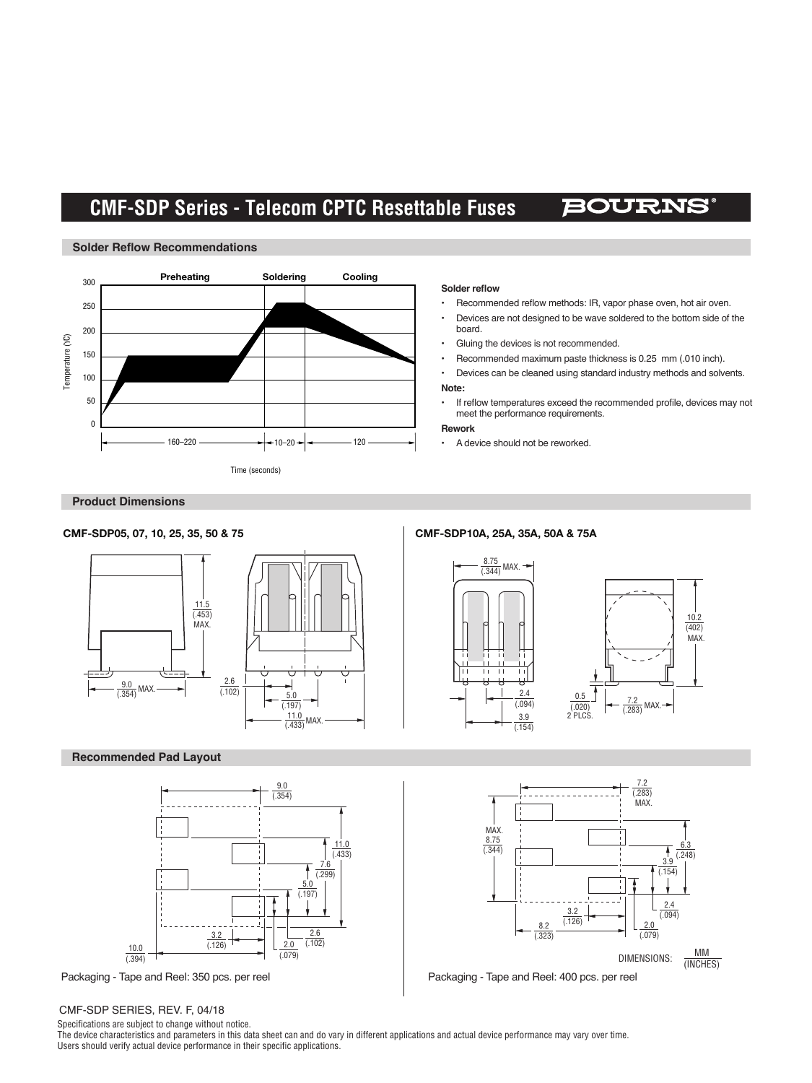# **CMF-SDP Series - Telecom CPTC Resettable Fuses**

## BOURNS



#### **Solder reflow**

- Recommended reflow methods: IR, vapor phase oven, hot air oven.
- Devices are not designed to be wave soldered to the bottom side of the board.
- Gluing the devices is not recommended.
- Recommended maximum paste thickness is 0.25 mm (.010 inch).
- Devices can be cleaned using standard industry methods and solvents. **Note:**
- If reflow temperatures exceed the recommended profile, devices may not meet the performance requirements.

#### **Rework**

• A device should not be reworked.

### **Product Dimensions**

**Solder Reflow Recommendations**



### **Recommended Pad Layout**



#### CMF-SDP SERIES, REV. F, 04/18

Specifications are subject to change without notice.

The device characteristics and parameters in this data sheet can and do vary in different applications and actual device performance may vary over time. Users should verify actual device performance in their specific applications.

 $\sim$ 







Packaging - Tape and Reel: 350 pcs. per reel Packaging - Tape and Reel: 400 pcs. per reel

(.154)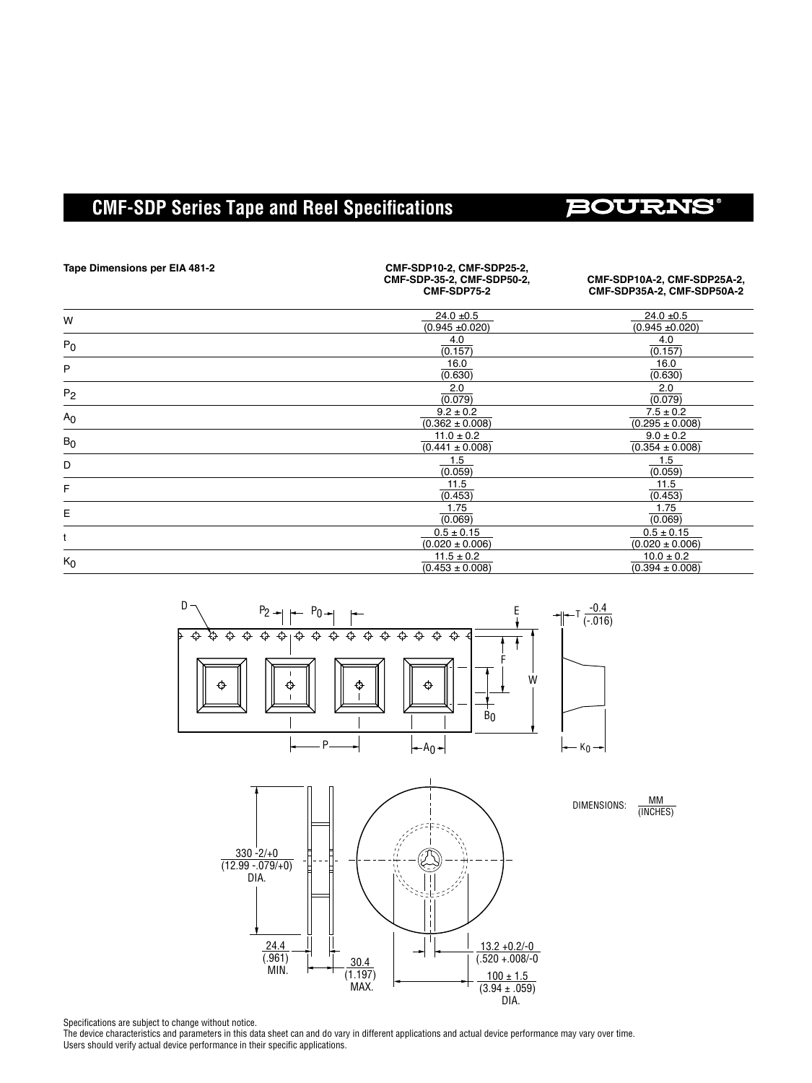# **CMF-SDP Series Tape and Reel Specifications**

# **BOURNS®**

| Tape Dimensions per EIA 481-2 | CMF-SDP10-2, CMF-SDP25-2,<br>CMF-SDP-35-2, CMF-SDP50-2,<br>CMF-SDP75-2 | CMF-SDP10A-2, CMF-SDP25A-2,<br>CMF-SDP35A-2, CMF-SDP50A-2 |
|-------------------------------|------------------------------------------------------------------------|-----------------------------------------------------------|
| W                             | $24.0 + 0.5$<br>$(0.945 \pm 0.020)$                                    | $24.0 + 0.5$<br>$(0.945 \pm 0.020)$                       |
| $P_0$                         | 4.0<br>(0.157)                                                         | 4.0<br>(0.157)                                            |
| P                             | 16.0<br>(0.630)                                                        | 16.0<br>(0.630)                                           |
| P <sub>2</sub>                | 2.0<br>(0.079)                                                         | 2.0<br>(0.079)                                            |
| A <sub>0</sub>                | $9.2 \pm 0.2$<br>$(0.362 \pm 0.008)$                                   | $7.5 \pm 0.2$<br>$(0.295 \pm 0.008)$                      |
| $B_0$                         | $11.0 \pm 0.2$<br>$(0.441 \pm 0.008)$                                  | $9.0 \pm 0.2$<br>$(0.354 \pm 0.008)$                      |
| D                             | 1.5<br>(0.059)                                                         | 1.5<br>(0.059)                                            |
| F                             | 11.5<br>(0.453)                                                        | 11.5<br>(0.453)                                           |
| E                             | 1.75<br>(0.069)                                                        | 1.75<br>(0.069)                                           |
|                               | $0.5 \pm 0.15$<br>$(0.020 \pm 0.006)$                                  | $0.5 \pm 0.15$<br>$(0.020 \pm 0.006)$                     |
| $K_0$                         | $11.5 \pm 0.2$<br>$(0.453 \pm 0.008)$                                  | $10.0 \pm 0.2$<br>$(0.394 \pm 0.008)$                     |



DIA.

Specifications are subject to change without notice.

The device characteristics and parameters in this data sheet can and do vary in different applications and actual device performance may vary over time. Users should verify actual device performance in their specific applications.